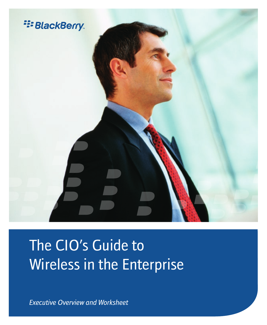

# The CIO's Guide to Wireless in the Enterprise

*Executive Overview and Worksheet*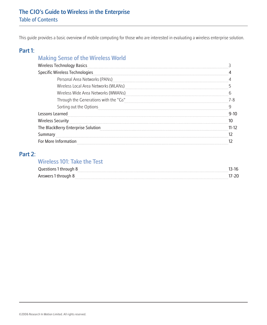This guide provides a basic overview of mobile computing for those who are interested in evaluating a wireless enterprise solution.

## Part 1:

# Making Sense of the Wireless World

| <b>Wireless Technology Basics</b>     |      |
|---------------------------------------|------|
| Specific Wireless Technologies        |      |
| Personal Area Networks (PANs)         |      |
| Wireless Local Area Networks (WLANs)  |      |
| Wireless Wide Area Networks (WWANs)   |      |
| Through the Generations with the "Gs" |      |
| Sorting out the Options               |      |
| Lessons Learned                       | ว-10 |
| <b>Wireless Security</b>              |      |
| The BlackBerry Enterprise Solution    | 1-12 |
| Summary                               |      |
| For More Information                  |      |
|                                       |      |

# Part 2:

## Wireless 101: Take the Test

|                | <br> |
|----------------|------|
| $S$ Wer<br>AU: |      |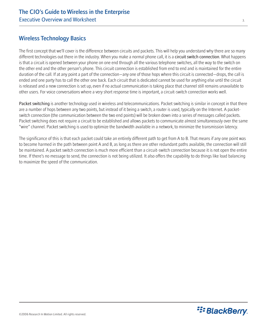# Wireless Technology Basics

The first concept that we'll cover is the difference between circuits and packets. This will help you understand why there are so many different technologies out there in the industry. When you make a normal phone call, it is a circuit switch connection. What happens is that a circuit is opened between your phone on one end through all the various telephone switches, all the way to the switch on the other end and the other person's phone. This circuit connection is established from end to end and is maintained for the entire duration of the call. If at any point a part of the connection—any one of those hops where this circuit is connected—drops, the call is ended and one party has to call the other one back. Each circuit that is dedicated cannot be used for anything else until the circuit is released and a new connection is set up, even if no actual communication is taking place that channel still remains unavailable to other users. For voice conversations where a very short response time is important, a circuit-switch connection works well.

Packet switching is another technology used in wireless and telecommunications. Packet switching is similar in concept in that there are a number of hops between any two points, but instead of it being a switch, a router is used, typically on the Internet. A packetswitch connection (the communication between the two end points) will be broken down into a series of messages called packets. Packet switching does not require a circuit to be established and allows packets to communicate almost simultaneously over the same "wire" channel. Packet switching is used to optimize the bandwidth available in a network, to minimize the transmission latency.

The significance of this is that each packet could take an entirely different path to get from A to B. That means if any one point was to become harmed in the path between point A and B, as long as there are other redundant paths available, the connection will still be maintained. A packet switch connection is much more efficient than a circuit-switch connection because it is not open the entire time. If there's no message to send, the connection is not being utilized. It also offers the capability to do things like load balancing to maximize the speed of the communication.

**E: BlackBerry**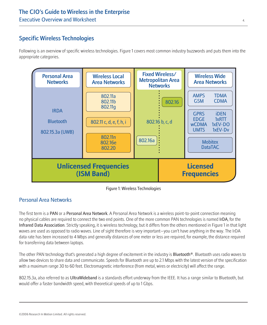# Specific Wireless Technologies

Following is an overview of specific wireless technologies. Figure 1 covers most common industry buzzwords and puts them into the appropriate categories.





# Personal Area Networks

The first term is a PAN or a Personal Area Network. A Personal Area Network is a wireless point-to-point connection meaning no physical cables are required to connect the two end points. One of the more common PAN technologies is named IrDA, for the Infrared Data Association. Strictly speaking, it is wireless technology, but it differs from the others mentioned in Figure 1 in that light waves are used as opposed to radio waves. Line of sight therefore is very important—you can't have anything in the way. The IrDA data rate has been increased to 4 Mbps and generally distances of one meter or less are required, for example, the distance required for transferring data between laptops.

The other PAN technology that's generated a high degree of excitement in the industry is Bluetooth®. Bluetooth uses radio waves to allow two devices to share data and communicate. Speeds for Bluetooth are up to 2.1 Mbps with the latest version of the specification with a maximum range 30 to 60 feet. Electromagnetic interference (from metal, wires or electricity) will affect the range.

802.15.3a, also referred to as UltraWideband is a standards effort underway from the IEEE. It has a range similar to Bluetooth, but would offer a faster bandwidth speed, with theoretical speeds of up to 1 Gbps.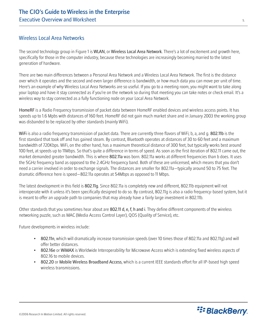## Wireless Local Area Networks

The second technology group in Figure 1 is WLAN, or Wireless Local Area Network. There's a lot of excitement and growth here, specifically for those in the computer industry, because these technologies are increasingly becoming married to the latest generation of hardware.

There are two main differences between a Personal Area Network and a Wireless Local Area Network. The first is the distance over which it operates and the second and even larger difference is bandwidth, or how much data you can move per unit of time. Here's an example of why Wireless Local Area Networks are so useful. If you go to a meeting room, you might want to take along your laptop and have it stay connected as if you're on the network so during that meeting you can take notes or check email. It's a wireless way to stay connected as a fully functioning node on your Local Area Network.

HomeRF is a Radio Frequency transmission of packet data between HomeRF enabled devices and wireless access points. It has speeds up to 1.6 Mpbs with distances of 160 feet. HomeRF did not gain much market share and in January 2003 the working group was disbanded to be replaced by other standards (mainly WiFi).

WiFi is also a radio frequency transmission of packet data. There are currently three flavors of WiFi; b, a, and q. 802.11b is the first standard that took off and has gained steam. By contrast, Bluetooth operates at distances of 30 to 60 feet and a maximum bandwidth of 720Kbps. WiFi, on the other hand, has a maximum theoretical distance of 300 feet, but typically works best around 100 feet, at speeds up to 11Mbps. So that's quite a difference in terms of speed. As soon as the first iteration of 802.11 came out, the market demanded greater bandwidth. This is where 802.11a was born. 802.11a works at different frequencies than b does. It uses the 5GHz frequency band as opposed to the 2.4GHz frequency band. Both of these are unlicensed, which means that you don't need a carrier involved in order to exchange signals. The distances are smaller for 802.11a—typically around 50 to 75 feet. The dramatic difference here is speed—802.11a operates at 54Mbps as opposed to 11 Mbps.

The latest development in this field is 802.11g. Since 802.11a is completely new and different, 802.11b equipment will not interoperate with it unless it's been specifically designed to do so. By contrast, 802.11g is also a radio frequency-based system, but it is meant to offer an upgrade path to companies that may already have a fairly large investment in 802.11b.

Other standards that you sometimes hear about are 802.11 d, e, f, h and i. They define different components of the wireless networking puzzle, such as MAC (Media Access Control Layer), QOS (Quality of Service), etc.

Future developments in wireless include:

- 802.11n, which will dramatically increase transmission speeds (over 10 times those of 802.11a and 802.11g) and will offer better distances.
- 802.16e or WiMAX is Worldwide Interoperability for Microwave Access which is extending fixed wireless aspects of 802.16 to mobile devices.
- 802.20 or Mobile Wireless Broadband Access, which is a current IEEE standards effort for all IP-based high speed wireless transmissions.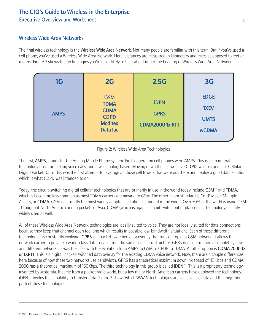## Wireless Wide Area Networks

The final wireless technology is the Wireless Wide Area Network. Not many people are familiar with this term. But if you've used a cell phone, you've used a Wireless Wide Area Network. Here, distances are measured in kilometers and miles as opposed to feet or meters. Figure 2 shows the technologies you're most likely to hear about under the heading of Wireless Wide Area Network.

| 1G          | 2G                                                                                          | 2.5G                                                | 3 <sub>G</sub>                                     |
|-------------|---------------------------------------------------------------------------------------------|-----------------------------------------------------|----------------------------------------------------|
| <b>AMPS</b> | <b>GSM</b><br><b>TDMA</b><br><b>CDMA</b><br><b>CDPD</b><br><b>Moditex</b><br><b>DataTac</b> | <b>iDEN</b><br><b>GPRS</b><br><b>CDMA20001x RTT</b> | <b>EDGE</b><br>1XEV<br><b>UMTS</b><br><b>wCDMA</b> |

#### Figure 2: Wireless Wide Area Technologies

The first, AMPS, stands for the Analog Mobile Phone system. First-generation cell phones were AMPS. This is a circuit switch technology used for making voice calls, and it was analog-based. Moving down the list, we have CDPD, which stands for Cellular Digital Packet Data. This was the first attempt to leverage all those cell towers that were out there and deploy a good data solution, which is what CDPD was intended to do.

Today, the circuit-switching digital cellular technologies that are primarily in use in the world today include GSM™ and TDMA, which is becoming less common as most TDMA carriers are moving to GSM. The other major standard is Co- Division Multiple Access, or CDMA. GSM is currently the most widely adopted cell phone standard in the world. Over 70% of the world is using GSM. Throughout North America and in pockets of Asia, CDMA (which is again a circuit switch but digital cellular technology) is fairly widely used as well.

All of these Wireless Wide Area Network technologies are ideally suited to voice. They are not ideally suited for data connections because they keep that channel open too long which results in possible low-bandwidth situations. Each of these different technologies is constantly evolving. GPRS is a packet-switched data overlay that runs on top of a GSM network. It allows the network carrier to provide a world-class data service from the same basic infrastructure. GPRS does not require a completely new and different network, as was the case with the evolution from AMPS to GSM or CPDP to TDMA. Another option is CDMA 2000 1X or 1XRTT. This is a digital, packet-switched data overlay for the existing CDMA voice network. Now, there are a couple differences here because of how these two networks use bandwidth. GPRS has a theoretical maximum downlink speed of 115Kbps and CDMA 2000 has a theoretical maximum of 150Kbps. The third technology in this group is called iDEN™. This is a proprietary technology invented by Motorola. It came from a packet radio world, but a few major North American carriers have deployed the technology. iDEN provides the capability to transfer data. Figure 3 shows which WWAN technologies are voice versus data and the migration path of these technologies.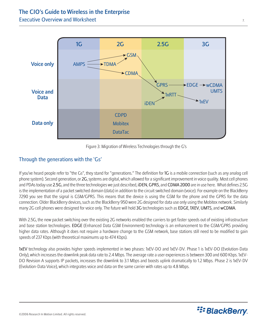

Figure 3: Migration of Wireless Technologies through the G's

## Through the generations with the 'Gs'

If you've heard people refer to "the Gs", they stand for "generations." The definition for 1G is a mobile connection (such as any analog cell phone system). Second generation, or 2G, systems are digital, which allowed for a significant improvement in voice quality. Most cell phones and PDAs today use 2.5G, and the three technologies we just described, iDEN, GPRS, and CDMA 2000 are in use here. What defines 2.5G is the implementation of a packet switched domain (data) in addition to the circuit switched domain (voice). For example on the BlackBerry 7290 you see that the signal is GSM/GPRS. This means that the device is using the GSM for the phone and the GPRS for the data connection. Older BlackBerry devices, such as the BlackBerry 950 were 2G designed for data use only using the Mobitex network. Similarly many 2G cell phones were designed for voice only. The future will hold 3G technologies such as EDGE, 1XEV, UMTS, and wCDMA.

With 2.5G, the new packet switching over the existing 2G networks enabled the carriers to get faster speeds out of existing infrastructure and base station technologies. EDGE (Enhanced Data GSM Environment) technology is an enhancement to the GSM/GPRS providing higher data rates. Although it does not require a hardware change to the GSM network, base stations still need to be modified to gain speeds of 237 Kbps (with theoretical maximums up to 474 Kbps).

1xEV technology also provides higher speeds implemented in two phases: 1xEV-DO and 1xEV-DV. Phase 1 is 1xEV-DO (Evolution-Data Only), which increases the downlink peak data rate to 2.4 Mbps. The average rate a user experiences is between 300 and 600 Kbps. 1xEV-DO Revision A supports IP packets, increases the downlink to 3.1 Mbps and boosts uplink dramatically to 1.2 Mbps. Phase 2 is 1xEV-DV (Evolution-Data Voice), which integrates voice and data on the same carrier with rates up to 4.8 Mbps.

**E: BlackBerry**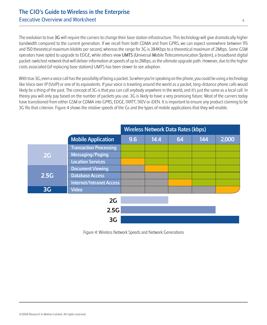The evolution to true 3G will require the carriers to change their base station infrastructure. This technology will give dramatically higher bandwidth compared to the current generation. If we recall from both CDMA and from GPRS, we can expect somewhere between 115 and 150 theoretical maximum kilobits per second, whereas the range for 3G is 384Kbps to a theoretical maximum of 2Mbps. Some GSM operators have opted to upgrade to EDGE, while others view UMTS (Universal Mobile Telecommunication System), a broadband digital packet-switched network that will deliver information at speeds of up to 2Mbps, as the ultimate upgrade path. However, due to the higher costs associated (of replacing base stations) UMTS has been slower to see adoption.

With true 3G, even a voice call has the possibility of being a packet. So when you're speaking on the phone, you could be using a technology like Voice over IP (VoIP) or one of its equivalents. If your voice is traveling around the world as a packet, long-distance phone calls would likely be a thing of the past. The concept of 3G is that you can call anybody anywhere in the world, and it's just the same as a local call. In theory you will only pay based on the number of packets you use. 3G is likely to have a very promising future. Most of the carriers today have transitioned from either GSM or CDMA into GPRS, EDGE, 1XRTT, 1XEV or iDEN. It is important to ensure any product claiming to be 3G fits that criterion. Figure 4 shows the relative speeds of the Gs and the types of mobile applications that they will enable.

|                |                               | <b>Wireless Network Data Rates (kbps)</b> |      |    |     |       |  |  |  |
|----------------|-------------------------------|-------------------------------------------|------|----|-----|-------|--|--|--|
|                | <b>Mobile Application</b>     | 9.6                                       | 14.4 | 64 | 144 | 2,000 |  |  |  |
|                | <b>Transaction Processing</b> |                                           |      |    |     |       |  |  |  |
| 2G             | Messaging/Paging              |                                           |      |    |     |       |  |  |  |
|                | <b>Location Services</b>      |                                           |      |    |     |       |  |  |  |
|                | <b>Document Viewing</b>       |                                           |      |    |     |       |  |  |  |
| 2.5G           | <b>Database Access</b>        |                                           |      |    |     |       |  |  |  |
|                | Internet/Intranet Access      |                                           |      |    |     |       |  |  |  |
| 3 <sub>G</sub> | <b>Video</b>                  |                                           |      |    |     |       |  |  |  |
|                | 2G                            |                                           |      |    |     |       |  |  |  |
|                | 2.5G                          |                                           |      |    |     |       |  |  |  |

Figure 4: Wireless Network Speeds and Network Generations

**3G**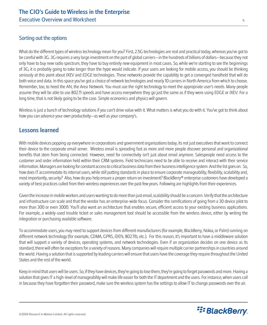## Sorting out the options

What do the different types of wireless technology mean for you? First, 2.5G technologies are real and practical today, whereas you've got to be careful with 3G. 3G requires a very large investment on the part of global carriers—in the hundreds of billions of dollars—because they not only have to buy new radio spectrum, they have to buy entirely new equipment in most cases. So, while we're starting to see the beginnings of 3G, it is probably going to take longer than the hype would indicate. If your users are looking for mobile access, you should be thinking seriously at this point about IXEV and EDGE technologies. These networks provide the capability to get a converged handheld that will do both voice and data. In this space you've got a choice of network technologies and nearly 10 carriers in North America from which to choose. Remember, too, to heed the AN, the Area Network. You must use the right technology to meet the appropriate user's needs. Many people assume they will be able to use 802.11 speeds and have access everywhere they go just the same as if they were using EDGE or IXEV. For a long time, that is not likely going to be the case. Simple economics and physics will govern.

Wireless is just a bunch of technology solutions if you can't drive value with it. What matters is what you do with it. You've got to think about how you can advance your own productivity—as well as your company's.

## Lessons learned

With mobile devices popping up everywhere in corporations and government organizations today, its not just executives that want to connect their device to the corporate email server. Wireless email is spreading fast as more and more people discover personal and organizational benefits that stem from being connected. However, need for connectivity isn't just about email anymore. Salespeople need access to the customer and order information held within their CRM systems. Field technicians need to be able to receive and interact with their service information. Managers are looking for constant access to critical business data from their business intelligence system. And the list goes on. So, how does IT accommodate its internal users, while still putting standards in place to ensure corporate manageability, flexibility, scalability and, most importantly, security? Also, how do you help ensure a proper return on investment? BlackBerry® enterprise customers have developed a variety of best practices culled from their wireless experiences over the past few years. Following are highlights from their experiences.

Given the increase in mobile workers and users wanting to do more than just email, scalability should be a concern. Verify that the architecture and infrastructure can scale and that the vendor has an enterprise-wide focus. Consider the ramifications of going from a 30 device pilot to more than 300 or even 3000. You'll also want an architecture that enables secure, efficient access to your existing business applications. For example, a widely-used trouble ticket or sales management tool should be accessible from the wireless device, either by writing the integration or purchasing available software.

To accommodate users, you may need to support devices from different manufacturers (for example, BlackBerry, Nokia, or Palm) running on different network technology (for example, CDMA, GPRS, iDEN, 802.11b, etc.). For this reason, it's important to have a middleware solution that will support a variety of devices, operating systems, and network technologies. Even if an organization decides on one device as its standard, there will often be exceptions for a variety of reasons. Many companies will require multiple carrier partnerships in countries around the world. Having a solution that is supported by leading carriers will ensure that users have the coverage they require throughout the United States and the rest of the world.

Keep in mind that users will be users. So, if they have devices, they're going to lose them, they're going to forget passwords and more. Having a solution that gives IT a high-level of manageability will make life easier for both the IT department and the users. For instance, when users call in because they have forgotten their password, make sure the wireless system has the settings to allow IT to change passwords over the air.

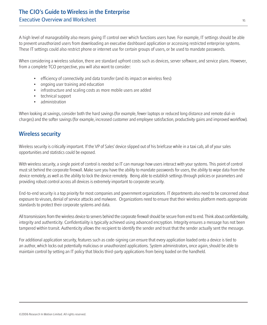A high level of manageability also means giving IT control over which functions users have. For example, IT settings should be able to prevent unauthorized users from downloading an executive dashboard application or accessing restricted enterprise systems. These IT settings could also restrict phone or internet use for certain groups of users, or be used to mandate passwords.

When considering a wireless solution, there are standard upfront costs such as devices, server software, and service plans. However, from a complete TCO perspective, you will also want to consider:

- efficiency of connectivity and data transfer (and its impact on wireless fees)
- ongoing user training and education
- infrastructure and scaling costs as more mobile users are added
- technical support
- administration

When looking at savings, consider both the hard savings (for example, fewer laptops or reduced long distance and remote dial-in charges) and the softer savings (for example, increased customer and employee satisfaction, productivity gains and improved workflow).

# Wireless security

Wireless security is critically important. If the VP of Sales' device slipped out of his briefcase while in a taxi cab, all of your sales opportunities and statistics could be exposed.

With wireless security, a single point of control is needed so IT can manage how users interact with your systems. This point of control must sit behind the corporate firewall. Make sure you have the ability to mandate passwords for users, the ability to wipe data from the device remotely, as well as the ability to lock the device remotely. Being able to establish settings through policies or parameters and providing robust control across all devices is extremely important to corporate security.

End-to-end security is a top priority for most companies and government organizations. IT departments also need to be concerned about exposure to viruses, denial of service attacks and malware. Organizations need to ensure that their wireless platform meets appropriate standards to protect their corporate systems and data.

All transmissions from the wireless device to servers behind the corporate firewall should be secure from end to end. Think about confidentiality, integrity and authenticity. Confidentiality is typically achieved using advanced encryption. Integrity ensures a message has not been tampered within transit. Authenticity allows the recipient to identify the sender and trust that the sender actually sent the message.

For additional application security, features such as code-signing can ensure that every application loaded onto a device is tied to an author, which locks out potentially malicious or unauthorized applications. System administrators, once again, should be able to maintain control by setting an IT policy that blocks third-party applications from being loaded on the handheld.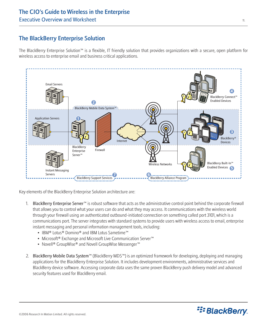# The BlackBerry Enterprise Solution

The BlackBerry Enterprise Solution™ is a flexible, IT friendly solution that provides organizations with a secure, open platform for wireless access to enterprise email and business critical applications.



Key elements of the BlackBerry Enterprise Solution architecture are:

- 1. BlackBerry Enterprise Server™ is robust software that acts as the administrative control point behind the corporate firewall that allows you to control what your users can do and what they may access. It communications with the wireless world through your firewall using an authenticated outbound-initiated connection on something called port 3101, which is a communications port. The server integrates with standard systems to provide users with wireless access to email, enterprise instant messaging and personal information management tools, including:
	- IBM® Lotus® Domino® and IBM Lotus Sametime™
	- Microsoft® Exchange and Microsoft Live Communication Server™
	- Novell® GroupWise® and Novell GroupWise Messenger™
- 2. BlackBerry Mobile Data System™ (BlackBerry MDS™) is an optimized framework for developing, deploying and managing applications for the BlackBerry Enterprise Solution. It includes development environments, administrative services and BlackBerry device software. Accessing corporate data uses the same proven BlackBerry push delivery model and advanced security features used for BlackBerry email.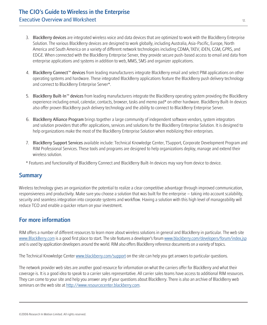- 3. BlackBerry devices are integrated wireless voice and data devices that are optimized to work with the BlackBerry Enterprise Solution. The various BlackBerry devices are designed to work globally, including Australia, Asia-Pacific, Europe, North America and South America on a variety of different network technologies including CDMA, 1XEV, iDEN, GSM, GPRS, and EDGE. When connected with the BlackBerry Enterprise Server, they provide secure push-based access to email and data from enterprise applications and systems in addition to web, MMS, SMS and organizer applications.
- 4. BlackBerry Connect™ devices from leading manufacturers integrate BlackBerry email and select PIM applications on other operating systems and hardware. These integrated BlackBerry applications feature the BlackBerry push delivery technology and connect to BlackBerry Enterprise Server\*.
- 5. BlackBerry Built-In™ devices from leading manufacturers integrate the BlackBerry operating system providing the BlackBerry experience including email, calendar, contacts, browser, tasks and memo pad\* on other hardware. BlackBerry Built-In devices also offer proven BlackBerry push delivery technology and the ability to connect to BlackBerry Enterprise Server.
- 6. BlackBerry Alliance Program brings together a large community of independent software vendors, system integrators and solution providers that offer applications, services and solutions for the BlackBerry Enterprise Solution. It is designed to help organizations make the most of the BlackBerry Enterprise Solution when mobilizing their enterprises.
- 7. BlackBerry Support Services available include: Technical Knowledge Center, TSupport, Corporate Development Program and RIM Professional Services. These tools and programs are designed to help organizations deploy, manage and extend their wireless solution.
- \* Features and functionality of BlackBerry Connect and BlackBerry Built-In devices may vary from device to device.

## **Summary**

Wireless technology gives an organization the potential to realize a clear competitive advantage through improved communication, responsiveness and productivity. Make sure you choose a solution that was built for the enterprise – taking into account scalability, security and seamless integration into corporate systems and workflow. Having a solution with this high level of manageability will reduce TCO and enable a quicker return on your investment.

# For more information

RIM offers a number of different resources to learn more about wireless solutions in general and BlackBerry in particular. The web site [www.BlackBerry.com](http://www.BlackBerry.com) is a good first place to start. The site features a developer's forum [www.blackberry.com/developers/forum/index.jsp](http://www.blackberry.com/developers/forum/index.jsp) and is used by application developers around the world. RIM also offers BlackBerry reference documents on a variety of topics.

The Technical Knowledge Center [www.blackberry.com/support](http://www.blackberry.com/support) on the site can help you get answers to particular questions.

The network provider web sites are another good resource for information on what the carriers offer for BlackBerry and what their coverage is. It is a good idea to speak to a carrier sales representative. All carrier sales teams have access to additional RIM resources. They can come to your site and help you answer any of your questions about BlackBerry. There is also an archive of BlackBerry web seminars on the web site at [http://www.resourcecenter.blackberry.com.](http://www.resourcecenter.blackberry.com)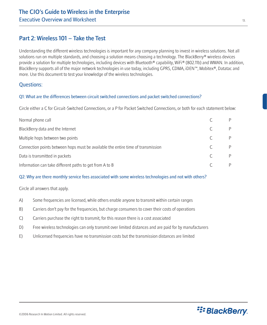## Part 2: Wireless 101 – Take the Test

Understanding the different wireless technologies is important for any company planning to invest in wireless solutions. Not all solutions run on multiple standards, and choosing a solution means choosing a technology. The BlackBerry® wireless devices provide a solution for multiple technologies, including devices with Bluetooth® capability, WiFi® (802.11b) and WWAN. In addition, BlackBerry supports all of the major network technologies in use today, including GPRS, CDMA, iDEN™, Mobitex®, Datatac and more. Use this document to test your knowledge of the wireless technologies.

### Questions:

#### Q1: What are the differences between circuit switched connections and packet switched connections?

Circle either a C for Circuit-Switched Connections, or a P for Packet Switched Connections, or both for each statement below:

| Normal phone call                                                                |  |
|----------------------------------------------------------------------------------|--|
| BlackBerry data and the Internet                                                 |  |
| Multiple hops between two points                                                 |  |
| Connection points between hops must be available the entire time of transmission |  |
| Data is transmitted in packets                                                   |  |
| Information can take different paths to get from A to B                          |  |

#### Q2: Why are there monthly service fees associated with some wireless technologies and not with others?

Circle all answers that apply.

- A) Some frequencies are licensed, while others enable anyone to transmit within certain ranges
- B) Carriers don't pay for the frequencies, but charge consumers to cover their costs of operations
- C) Carriers purchase the right to transmit, for this reason there is a cost associated
- D) Free wireless technologies can only transmit over limited distances and are paid for by manufacturers
- E) Unlicensed frequencies have no transmission costs but the transmission distances are limited

**E: BlackBerry**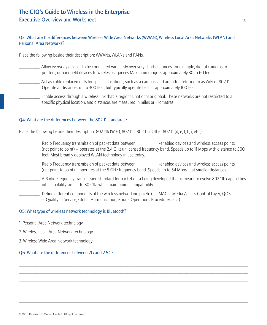#### Q3: What are the differences between Wireless Wide Area Networks (WWAN), Wireless Local Area Networks (WLAN) and Personal Area Networks?

Place the following beside their description: WWANs, WLANs and PANs.

- \_\_\_\_\_\_\_\_\_ Allow everyday devices to be connected wirelessly over very short distances; for example, digital cameras to printers, or handheld devices to wireless earpieces.Maximum range is approximately 30 to 60 feet.
- Act as cable replacements for specific locations, such as a campus, and are often referred to as WiFi or 802.11. Operate at distances up to 300 feet, but typically operate best at approximately 100 feet.
- Enable access through a wireless link that is regional, national or global. These networks are not restricted to a specific physical location, and distances are measured in miles or kilometres.

#### Q4: What are the differences between the 802.11 standards?

Place the following beside their description: 802.11b (WiFi), 802.11a, 802.11g, Other 802.11 (d, e, f, h, i, etc.).

- Radio Frequency transmission of packet data between \_\_\_\_\_\_\_\_\_\_\_ -enabled devices and wireless access points (not point to point) – operates at the 2.4 GHz unlicensed frequency band. Speeds up to 11 Mbps with distance to 300 feet. Most broadly deployed WLAN technology in use today.
- Radio Frequency transmission of packet data between \_\_\_\_\_\_\_\_\_\_\_ -enabled devices and wireless access points (not point to point) – operates at the 5 GHz frequency band. Speeds up to 54 Mbps – at smaller distances.
- \_\_\_\_\_\_\_\_\_ A Radio Frequency transmission standard for packet data being developed that is meant to evolve 802.11b capabilities into capability similar to 802.11a while maintaining compatibility.

 $\ldots$  . The contribution of the contribution of the contribution of the contribution of the contribution of the contribution of the contribution of the contribution of the contribution of the contribution of the contribut  $\ldots$  . The contribution of the contribution of the contribution of the contribution of the contribution of the contribution of the contribution of the contribution of the contribution of the contribution of the contribut  $\ldots$  . The contribution of the contribution of the contribution of the contribution of the contribution of the contribution of the contribution of the contribution of the contribution of the contribution of the contribut

Define different components of the wireless networking puzzle (i.e. MAC – Media Access Control Layer, OOS – Quality of Service, Global Harmonization, Bridge Operations Procedures, etc.).

#### Q5: What type of wireless network technology is Bluetooth?

- 1. Personal Area Network technology
- 2. Wireless Local Area Network technology
- 3. Wireless Wide Area Network technology

#### Q6: What are the differences between 2G and 2.5G?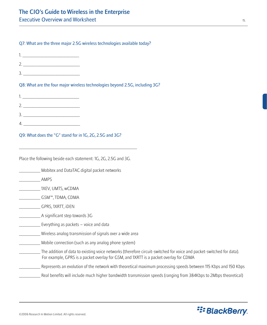#### Q7: What are the three major 2.5G wireless technologies available today?

1. \_\_\_\_\_\_\_\_\_\_\_\_\_\_\_\_\_\_\_\_\_\_\_\_ 2. \_\_\_\_\_\_\_\_\_\_\_\_\_\_\_\_\_\_\_\_\_\_\_\_

3. \_\_\_\_\_\_\_\_\_\_\_\_\_\_\_\_\_\_\_\_\_\_\_\_

Q8: What are the four major wireless technologies beyond 2.5G, including 3G?

#### Q9: What does the "G" stand for in 1G, 2G, 2.5G and 3G?

Place the following beside each statement: 1G, 2G, 2.5G and 3G.

\_\_\_\_\_\_\_\_\_\_\_\_\_\_\_\_\_\_\_\_\_\_\_\_\_\_\_\_\_\_\_\_\_\_\_\_\_\_\_\_\_\_\_\_\_\_\_\_\_\_

\_\_\_\_\_\_\_\_\_ Mobitex and DataTAC digital packet networks

\_\_\_\_\_\_\_\_\_ AMPS

\_\_\_\_\_\_\_\_\_ 1XEV, UMTS, wCDMA

\_\_\_\_\_\_\_\_\_ GSM™, TDMA, CDMA

- \_\_\_\_\_\_\_\_\_ GPRS, 1XRTT, iDEN
- \_\_\_\_\_\_\_\_\_ A significant step towards 3G
- Everything as packets voice and data
- \_\_\_\_\_\_\_\_\_ Wireless analog transmission of signals over a wide area
- \_\_\_\_\_\_\_\_\_ Mobile connection (such as any analog phone system)
- \_\_\_\_\_\_\_\_\_ The addition of data to existing voice networks (therefore circuit-switched for voice and packet-switched for data). For example, GPRS is a packet overlay for GSM, and 1XRTT is a packet overlay for CDMA
- \_\_\_\_\_\_\_\_\_ Represents an evolution of the network with theoretical maximum processing speeds between 115 Kbps and 150 Kbps
	- \_\_\_\_\_\_\_\_\_ Real benefits will include much higher bandwidth transmission speeds (ranging from 384Kbps to 2Mbps theoretical)

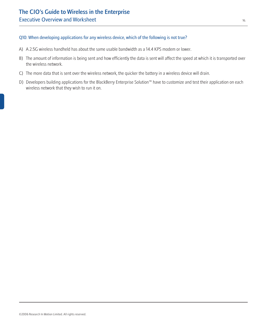#### Q10: When developing applications for any wireless device, which of the following is not true?

- A) A 2.5G wireless handheld has about the same usable bandwidth as a 14.4 KPS modem or lower.
- B) The amount of information is being sent and how efficiently the data is sent will affect the speed at which it is transported over the wireless network.
- C) The more data that is sent over the wireless network, the quicker the battery in a wireless device will drain.
- D) Developers building applications for the BlackBerry Enterprise Solution™ have to customize and test their application on each wireless network that they wish to run it on.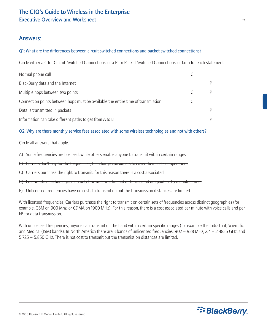## Answers:

#### Q1: What are the differences between circuit switched connections and packet switched connections?

Circle either a C for Circuit-Switched Connections, or a P for Packet Switched Connections, or both for each statement

| Normal phone call                                                                |   |
|----------------------------------------------------------------------------------|---|
| BlackBerry data and the Internet                                                 | P |
| Multiple hops between two points                                                 | P |
| Connection points between hops must be available the entire time of transmission |   |
| Data is transmitted in packets                                                   | P |
| Information can take different paths to get from A to B                          | P |

#### Q2: Why are there monthly service fees associated with some wireless technologies and not with others?

Circle all answers that apply.

A) Some frequencies are licensed, while others enable anyone to transmit within certain ranges

B) Carriers don't pay for the frequencies, but charge consumers to cover their costs of operations

C) Carriers purchase the right to transmit, for this reason there is a cost associated

D) Free wireless technologies can only transmit over limited distances and are paid for by manufacturers

E) Unlicensed frequencies have no costs to transmit on but the transmission distances are limited

With licensed frequencies, Carriers purchase the right to transmit on certain sets of frequencies across distinct geographies (for example, GSM on 900 Mhz, or CDMA on 1900 MHz). For this reason, there is a cost associated per minute with voice calls and per kB for data transmission.

With unlicensed frequencies, anyone can transmit on the band within certain specific ranges (for example the Industrial, Scientific and Medical (ISM) bands). In North America there are 3 bands of unlicensed frequencies: 902 – 928 MHz, 2.4 – 2.4835 GHz, and 5.725 – 5.850 GHz. There is not cost to transmit but the transmission distances are limited.

**E: BlackBerry**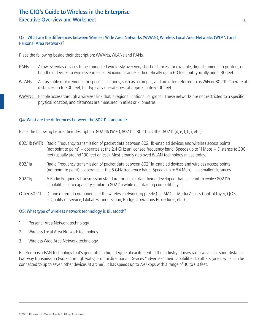#### Q3: What are the differences between Wireless Wide Area Networks (WWAN), Wireless Local Area Networks (WLAN) and Personal Area Networks?

Place the following beside their description: WWANs, WLANs and PANs.

- PANs Allow everyday devices to be connected wirelessly over very short distances; for example, digital cameras to printers, or handheld devices to wireless earpieces. Maximum range is theoretically up to 60 feet, but typically under 30 feet.
- WLANs Act as cable replacements for specific locations, such as a campus, and are often referred to as WiFi or 802.11. Operate at distances up to 300 feet, but typically operate best at approximately 100 feet.
- WWANs Enable access through a wireless link that is regional, national, or global. These networks are not restricted to a specific physical location, and distances are measured in miles or kilometres.

#### Q4: What are the differences between the 802.11 standards?

Place the following beside their description: 802.11b (WiFi), 802.11a, 802.11g, Other 802.11 (d, e, f, h, i, etc.).

- 802.11b (WiFi) Radio Frequency transmission of packet data between 802.11b-enabled devices and wireless access points (not point to point) – operates at the 2.4 GHz unlicensed frequency band. Speeds up to 11 Mbps – Distance to 300 feet (usually around 100 feet or less). Most broadly deployed WLAN technology in use today.
- 802.11a Radio Frequency transmission of packet data between 802.11a-enabled devices and wireless access points (not point to point) – operates at the 5 GHz frequency band. Speeds up to 54 Mbps – at smaller distances.
- 802.11g A Radio Frequency transmission standard for packet data being developed that is meant to evolve 802.11b capabilities into capability similar to 802.11a while maintaining compatibility.
- Other 802.11 Define different components of the wireless networking puzzle (I.e. MAC Media Access Control Layer, QOS – Quality of Service, Global Harmonization, Bridge Operations Procedures, etc.).

#### Q5: What type of wireless network technology is Bluetooth?

- 1. Personal Area Network technology
- 2. Wireless Local Area Network technology
- 3. Wireless Wide Area Network technology

Bluetooth is a PAN technology that's generated a high degree of excitement in the industry. It uses radio waves for short distance two-way transmission (works through walls) – omni directional. Devices "advertise" their capabilities to others (one device can be connected to up to seven other devices at a time). It has speeds up to 720 kbps with a range of 30 to 60 feet.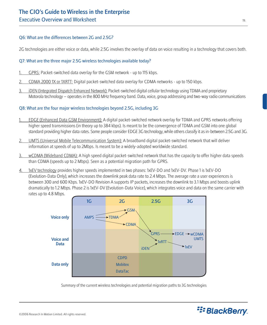#### Q6: What are the differences between 2G and 2.5G?

2G technologies are either voice or data, while 2.5G involves the overlay of data on voice resulting in a technology that covers both.

#### Q7: What are the three major 2.5G wireless technologies available today?

- GPRS: Packet-switched data overlay for the GSM network up to 115 kbps.
- 2. CDMA 2000 1X or 1XRTT: Digital packet-switched data overlay for CDMA networks up to 150 kbps.
- iDEN (Integrated Dispatch Enhanced Network): Packet-switched digital cellular technology using TDMA and proprietary Motorola technology – operates in the 800 MHz frequency band. Data, voice, group addressing and two-way radio communications

#### Q8: What are the four major wireless technologies beyond 2.5G, including 3G

- 1. EDGE (Enhanced Data GSM Environment): A digital packet-switched network overlay for TDMA and GPRS networks offering higher speed transmissions (in theory up to 384 kbps). Is meant to be the convergence of TDMA and GSM into one global standard providing higher data rates. Some people consider EDGE 3G technology, while others classify it as in-between 2.5G and 3G.
- 2. UMTS (Universal Mobile Telecommunication System): A broadband digital packet-switched network that will deliver information at speeds of up to 2Mbps. Is meant to be a widely-adopted worldwide standard.
- 3. wCDMA (Wideband CDMA): A high speed digital packet-switched network that has the capacity to offer higher data speeds than CDMA (speeds up to 2 Mbps). Seen as a potential migration path for GPRS.
- 4. 1xEV technology provides higher speeds implemented in two phases: 1xEV-DO and 1xEV-DV. Phase 1 is 1xEV-DO (Evolution-Data Only), which increases the downlink peak data rate to 2.4 Mbps. The average rate a user experiences is between 300 and 600 Kbps. 1xEV-DO Revision A supports IP packets, increases the downlink to 3.1 Mbps and boosts uplink dramatically to 1.2 Mbps. Phase 2 is 1xEV-DV (Evolution-Data Voice), which integrates voice and data on the same carrier with rates up to 4.8 Mbps.



Summary of the current wireless technologies and potential migration paths to 3G technologies

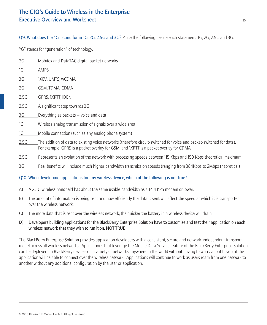Q9: What does the "G" stand for in 1G, 2G, 2.5G and 3G? Place the following beside each statement: 1G, 2G, 2.5G and 3G.

"G" stands for "generation" of technology.

- 2G Mobitex and DataTAC digital packet networks
- 1G AMPS
- 3G 1XEV, UMTS, wCDMA
- 2G GSM, TDMA, CDMA
- 2.5G GPRS, 1XRTT, iDEN
- 2.5G A significant step towards 3G
- 3G Everything as packets voice and data
- 1G Wireless analog transmission of signals over a wide area
- 1G Mobile connection (such as any analog phone system)
- 2.5G The addition of data to existing voice networks (therefore circuit-switched for voice and packet-switched for data). For example, GPRS is a packet overlay for GSM, and 1XRTT is a packet overlay for CDMA
- 2.5G Represents an evolution of the network with processing speeds between 115 Kbps and 150 Kbps theoretical maximum
- 3G Real benefits will include much higher bandwidth transmission speeds (ranging from 384Kbps to 2Mbps theoretical)

#### Q10: When developing applications for any wireless device, which of the following is not true?

- A) A 2.5G wireless handheld has about the same usable bandwidth as a 14.4 KPS modem or lower.
- B) The amount of information is being sent and how efficiently the data is sent will affect the speed at which it is transported over the wireless network.
- C) The more data that is sent over the wireless network, the quicker the battery in a wireless device will drain.
- D) Developers building applications for the BlackBerry Enterprise Solution have to customize and test their application on each wireless network that they wish to run it on. NOT TRUE

The BlackBerry Enterprise Solution provides application developers with a consistent, secure and network-independent transport model across all wireless networks. Applications that leverage the Mobile Data Service feature of the BlackBerry Enterprise Solution can be deployed on BlackBerry devices on a variety of networks anywhere in the world without having to worry about how or if the application will be able to connect over the wireless network. Applications will continue to work as users roam from one network to another without any additional configuration by the user or application.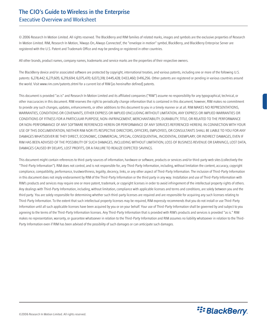# The CIO's Guide to Wireless in the Enterprise Executive Overview and Worksheet

© 2006 Research In Motion Limited. All rights reserved. The BlackBerry and RIM families of related marks, images and symbols are the exclusive properties of Research In Motion Limited. RIM, Research In Motion, 'Always On, Always Connected', the "envelope in motion" symbol, BlackBerry, and BlackBerry Enterprise Server are registered with the U.S. Patent and Trademark Office and may be pending or registered in other countries.

All other brands, product names, company names, trademarks and service marks are the properties of their respective owners.

The BlackBerry device and/or associated software are protected by copyright, international treaties, and various patents, including one or more of the following U.S. patents: 6,278,442; 6,271,605; 6,219,694; 6,075,470; 6,073,318; D445,428; D433,460; D416,256. Other patents are registered or pending in various countries around the world. Visit www.rim.com/patents.shtml for a current list of RIM [as hereinafter defined] patents.

This document is provided "as is" and Research In Motion Limited and its affiliated companies ("RIM") assume no responsibility for any typographical, technical, or other inaccuracies in this document. RIM reserves the right to periodically change information that is contained in this document; however, RIM makes no commitment to provide any such changes, updates, enhancements, or other additions to this document to you in a timely manner or at all. RIM MAKES NO REPRESENTATIONS, WARRANTIES, CONDITIONS OR COVENANTS, EITHER EXPRESS OR IMPLIED (INCLUDING WITHOUT LIMITATION, ANY EXPRESS OR IMPLIED WARRANTIES OR CONDITIONS OF FITNESS FOR A PARTICULAR PURPOSE, NON-INFRINGEMENT, MERCHANTABILITY, DURABILITY, TITLE, OR RELATED TO THE PERFORMANCE OR NON-PERFORMANCE OF ANY SOFTWARE REFERENCED HEREIN OR PERFORMANCE OF ANY SERVICES REFERENCED HEREIN). IN CONNECTION WITH YOUR USE OF THIS DOCUMENTATION, NEITHER RIM NOR ITS RESPECTIVE DIRECTORS, OFFICERS, EMPLOYEES, OR CONSULTANTS SHALL BE LIABLE TO YOU FOR ANY DAMAGES WHATSOEVER BE THEY DIRECT, ECONOMIC, COMMERCIAL, SPECIAL, CONSEQUENTIAL, INCIDENTAL, EXEMPLARY, OR INDIRECT DAMAGES, EVEN IF RIM HAS BEEN ADVISED OF THE POSSIBILITY OF SUCH DAMAGES, INCLUDING WITHOUT LIMITATION, LOSS OF BUSINESS REVENUE OR EARNINGS, LOST DATA, DAMAGES CAUSED BY DELAYS, LOST PROFITS, OR A FAILURE TO REALIZE EXPECTED SAVINGS.

This document might contain references to third-party sources of information, hardware or software, products or services and/or third-party web sites (collectively the "Third-Party Information"). RIM does not control, and is not responsible for, any Third-Party Information, including, without limitation the content, accuracy, copyright compliance, compatibility, performance, trustworthiness, legality, decency, links, or any other aspect of Third-Party Information. The inclusion of Third-Party Information in this document does not imply endorsement by RIM of the Third-Party Information or the third party in any way. Installation and use of Third-Party Information with RIM's products and services may require one or more patent, trademark, or copyright licenses in order to avoid infringement of the intellectual property rights of others. Any dealings with Third-Party Information, including, without limitation, compliance with applicable licenses and terms and conditions, are solely between you and the third party. You are solely responsible for determining whether such third-party licenses are required and are responsible for acquiring any such licenses relating to Third-Party Information. To the extent that such intellectual property licenses may be required, RIM expressly recommends that you do not install or use Third-Party Information until all such applicable licenses have been acquired by you or on your behalf. Your use of Third-Party Information shall be governed by and subject to you agreeing to the terms of the Third-Party Information licenses. Any Third-Party Information that is provided with RIM's products and services is provided "as is." RIM makes no representation, warranty, or guarantee whatsoever in relation to the Third-Party Information and RIM assumes no liability whatsoever in relation to the Third-Party Information even if RIM has been advised of the possibility of such damages or can anticipate such damages.